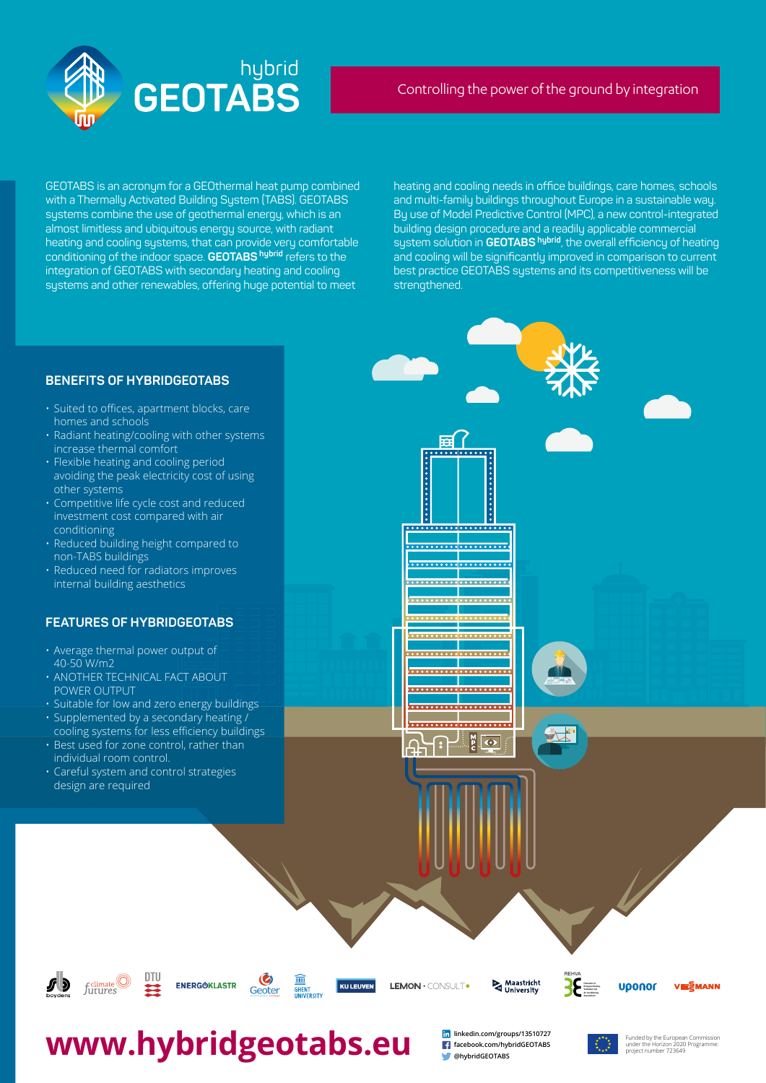GEOTABS is an acronym for a GEOthermal heat pump combined with a Thermally Activated Building System (TABS). GEOTABS systems combine the use of geothermal energy, which is an almost limitless and ubiquitous energy source, with radiant heating and cooling systems, that can provide very comfortable conditioning of the indoor space. **GEOTABS hybrid** refers to the integration of GEOTABS with secondary heating and cooling systems and other renewables, offering huge potential to meet

heating and cooling needs in office buildings, care homes, schools and multi-family buildings throughout Europe in a sustainable way. By use of Model Predictive Control (MPC), a new control-integrated building design procedure and a readily applicable commercial system solution in **GEOTABS** hybrid, the overall efficiency of heating and cooling will be significantly improved in comparison to current best practice GEOTABS systems and its competitiveness will be strengthened.

- Suited to offices, apartment blocks, care homes and schools
- Radiant heating/cooling with other systems increase thermal comfort
- Flexible heating and cooling period avoiding the peak electricity cost of using other systems
- Competitive life cycle cost and reduced investment cost compared with air conditioning
- Reduced building height compared to non-TABS buildings
- Reduced need for radiators improves





the light





# **WWW.hybridgeOtabs.eu Facebook.com/hybridGEOTABS**



### Controlling the power of the ground by integration

**linkedin.com/groups/13510727 facebook.com/hybridGEOTABS @hybridGEOTABS**



Funded by the European Commission<br>under the Horizon 2020 Programme:

### **BENEFITS OF HYBRIDGEOTABS**

internal building aesthetics

### **FEATURES OF HYBRIDGEOTABS**

- Average thermal power output of 40-50 W/m2
- ANOTHER TECHNICAL FACT ABOUT POWER OUTPUT
- Suitable for low and zero energy buildings
- Supplemented by a secondary heating / cooling systems for less efficiency buildings
- Best used for zone control, rather than individual room control.
- Careful system and control strategies design are required















. . . . . . . . . . . . . . . . .

**..................** 

 $\bullet$